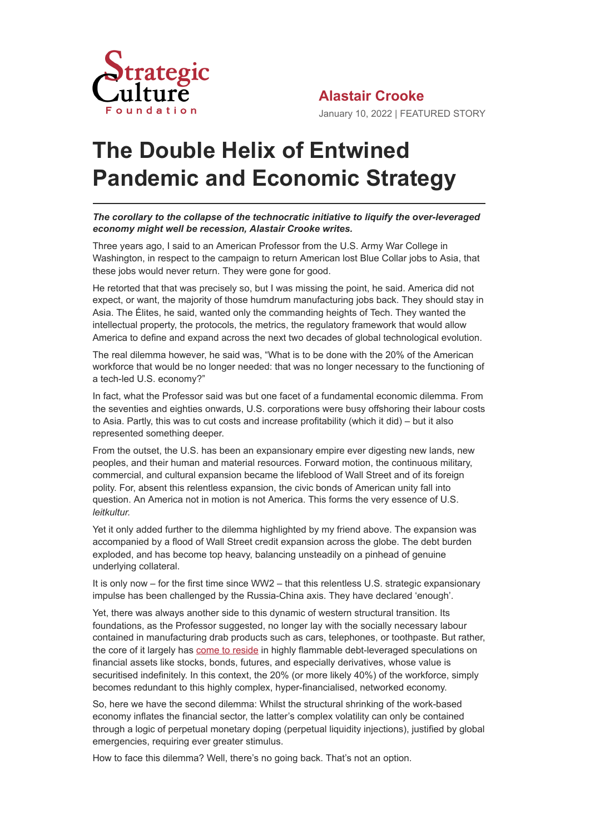

## **The Double Helix of Entwined Pandemic and Economic Strategy**

## *The corollary to the collapse of the technocratic initiative to liquify the over-leveraged economy might well be recession, Alastair Crooke writes.*

Three years ago, I said to an American Professor from the U.S. Army War College in Washington, in respect to the campaign to return American lost Blue Collar jobs to Asia, that these jobs would never return. They were gone for good.

He retorted that that was precisely so, but I was missing the point, he said. America did not expect, or want, the majority of those humdrum manufacturing jobs back. They should stay in Asia. The Élites, he said, wanted only the commanding heights of Tech. They wanted the intellectual property, the protocols, the metrics, the regulatory framework that would allow America to define and expand across the next two decades of global technological evolution.

The real dilemma however, he said was, "What is to be done with the 20% of the American workforce that would be no longer needed: that was no longer necessary to the functioning of a tech-led U.S. economy?"

In fact, what the Professor said was but one facet of a fundamental economic dilemma. From the seventies and eighties onwards, U.S. corporations were busy offshoring their labour costs to Asia. Partly, this was to cut costs and increase profitability (which it did) – but it also represented something deeper.

From the outset, the U.S. has been an expansionary empire ever digesting new lands, new peoples, and their human and material resources. Forward motion, the continuous military, commercial, and cultural expansion became the lifeblood of Wall Street and of its foreign polity. For, absent this relentless expansion, the civic bonds of American unity fall into question. An America not in motion is not America. This forms the very essence of U.S. *leitkultur.*

Yet it only added further to the dilemma highlighted by my friend above. The expansion was accompanied by a flood of Wall Street credit expansion across the globe. The debt burden exploded, and has become top heavy, balancing unsteadily on a pinhead of genuine underlying collateral.

It is only now – for the first time since WW2 – that this relentless U.S. strategic expansionary impulse has been challenged by the Russia-China axis. They have declared 'enough'.

Yet, there was always another side to this dynamic of western structural transition. Its foundations, as the Professor suggested, no longer lay with the socially necessary labour contained in manufacturing drab products such as cars, telephones, or toothpaste. But rather, the core of it largely has [come to reside](https://thephilosophicalsalon.com/the-central-bankers-long-covid-emergency-noise-and-conspiracys-best-kept-secret/) in highly flammable debt-leveraged speculations on financial assets like stocks, bonds, futures, and especially derivatives, whose value is securitised indefinitely. In this context, the 20% (or more likely 40%) of the workforce, simply becomes redundant to this highly complex, hyper-financialised, networked economy.

So, here we have the second dilemma: Whilst the structural shrinking of the work-based economy inflates the financial sector, the latter's complex volatility can only be contained through a logic of perpetual monetary doping (perpetual liquidity injections), justified by global emergencies, requiring ever greater stimulus.

How to face this dilemma? Well, there's no going back. That's not an option.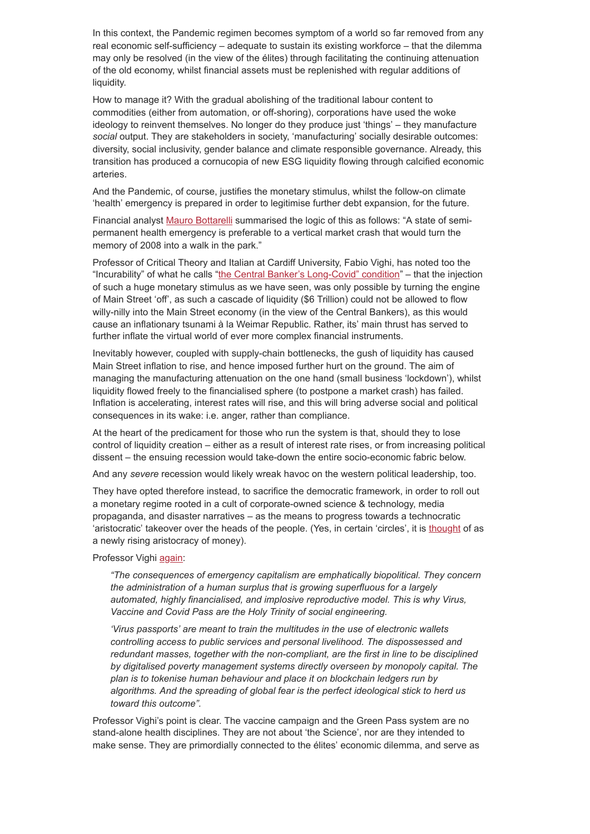In this context, the Pandemic regimen becomes symptom of a world so far removed from any real economic self-sufficiency – adequate to sustain its existing workforce – that the dilemma may only be resolved (in the view of the élites) through facilitating the continuing attenuation of the old economy, whilst financial assets must be replenished with regular additions of liquidity.

How to manage it? With the gradual abolishing of the traditional labour content to commodities (either from automation, or off-shoring), corporations have used the woke ideology to reinvent themselves. No longer do they produce just 'things' – they manufacture *social* output. They are stakeholders in society, 'manufacturing' socially desirable outcomes: diversity, social inclusivity, gender balance and climate responsible governance. Already, this transition has produced a cornucopia of new ESG liquidity flowing through calcified economic arteries.

And the Pandemic, of course, justifies the monetary stimulus, whilst the follow-on climate 'health' emergency is prepared in order to legitimise further debt expansion, for the future.

Financial analyst [Mauro Bottarelli](https://www.money.it/Denaro-costo-zero-Covid-perenne) summarised the logic of this as follows: "A state of semipermanent health emergency is preferable to a vertical market crash that would turn the memory of 2008 into a walk in the park."

Professor of Critical Theory and Italian at Cardiff University, Fabio Vighi, has noted too the "Incurability" of what he calls ["the Central Banker's Long-Covid" condition"](https://thephilosophicalsalon.com/the-central-bankers-long-covid-emergency-noise-and-conspiracys-best-kept-secret/) – that the injection of such a huge monetary stimulus as we have seen, was only possible by turning the engine of Main Street 'off', as such a cascade of liquidity (\$6 Trillion) could not be allowed to flow willy-nilly into the Main Street economy (in the view of the Central Bankers), as this would cause an inflationary tsunami à la Weimar Republic. Rather, its' main thrust has served to further inflate the virtual world of ever more complex financial instruments.

Inevitably however, coupled with supply-chain bottlenecks, the gush of liquidity has caused Main Street inflation to rise, and hence imposed further hurt on the ground. The aim of managing the manufacturing attenuation on the one hand (small business 'lockdown'), whilst liquidity flowed freely to the financialised sphere (to postpone a market crash) has failed. Inflation is accelerating, interest rates will rise, and this will bring adverse social and political consequences in its wake: i.e. anger, rather than compliance.

At the heart of the predicament for those who run the system is that, should they to lose control of liquidity creation – either as a result of interest rate rises, or from increasing political dissent – the ensuing recession would take-down the entire socio-economic fabric below.

And any *severe* recession would likely wreak havoc on the western political leadership, too.

They have opted therefore instead, to sacrifice the democratic framework, in order to roll out a monetary regime rooted in a cult of corporate-owned science & technology, media propaganda, and disaster narratives – as the means to progress towards a technocratic 'aristocratic' takeover over the heads of the people. (Yes, in certain 'circles', it is [thought](https://www.affaritaliani.it/politica/magaldi-draghi-operazione-massonica-mattarella-al-colle-grazie-a-mario-722223.html) of as a newly rising aristocracy of money).

## Professor Vighi [again:](https://thephilosophicalsalon.com/the-central-bankers-long-covid-emergency-noise-and-conspiracys-best-kept-secret/)

*"The consequences of emergency capitalism are emphatically biopolitical. They concern the administration of a human surplus that is growing superfluous for a largely automated, highly financialised, and implosive reproductive model. This is why Virus, Vaccine and Covid Pass are the Holy Trinity of social engineering.*

*'Virus passports' are meant to train the multitudes in the use of electronic wallets controlling access to public services and personal livelihood. The dispossessed and redundant masses, together with the non-compliant, are the first in line to be disciplined by digitalised poverty management systems directly overseen by monopoly capital. The plan is to tokenise human behaviour and place it on blockchain ledgers run by algorithms. And the spreading of global fear is the perfect ideological stick to herd us toward this outcome".*

Professor Vighi's point is clear. The vaccine campaign and the Green Pass system are no stand-alone health disciplines. They are not about 'the Science', nor are they intended to make sense. They are primordially connected to the élites' economic dilemma, and serve as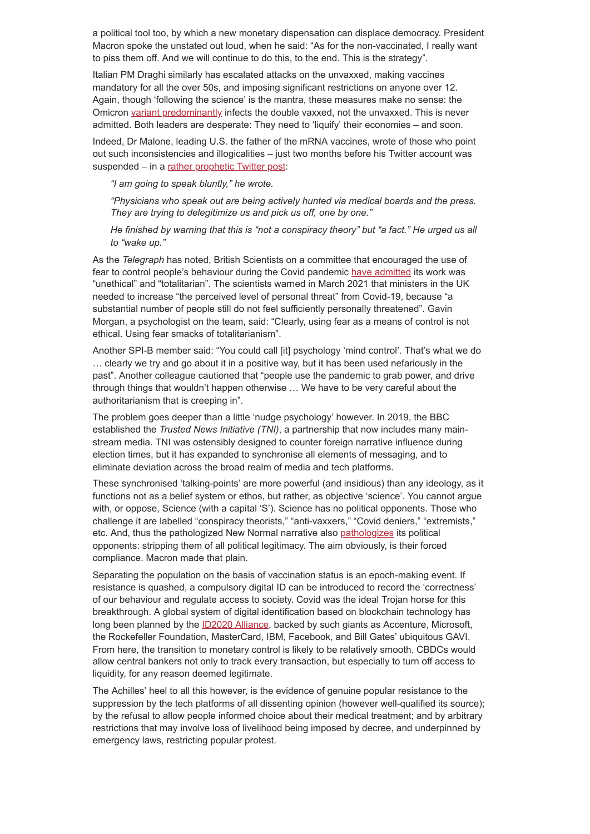a political tool too, by which a new monetary dispensation can displace democracy. President Macron spoke the unstated out loud, when he said: "As for the non-vaccinated, I really want to piss them off. And we will continue to do this, to the end. This is the strategy".

Italian PM Draghi similarly has escalated attacks on the unvaxxed, making vaccines mandatory for all the over 50s, and imposing significant restrictions on anyone over 12. Again, though 'following the science' is the mantra, these measures make no sense: the Omicron [variant predominantly](https://www.theepochtimes.com/omicron-spreads-faster-than-delta-within-vaccinated-individuals-danish-study_4192825.html) infects the double vaxxed, not the unvaxxed. This is never admitted. Both leaders are desperate: They need to 'liquify' their economies – and soon.

Indeed, Dr Malone, leading U.S. the father of the mRNA vaccines, wrote of those who point out such inconsistencies and illogicalities – just two months before his Twitter account was suspended – in a [rather prophetic Twitter post](https://twitter.com/MaajidNawaz/status/1476532434602795008/photo/1):

*"I am going to speak bluntly," he wrote.*

*"Physicians who speak out are being actively hunted via medical boards and the press. They are trying to delegitimize us and pick us off, one by one."*

*He finished by warning that this is "not a conspiracy theory" but "a fact." He urged us all to "wake up."*

As the *Telegraph* has noted, British Scientists on a committee that encouraged the use of fear to control people's behaviour during the Covid pandemic [have admitted](https://www.telegraph.co.uk/news/2021/05/14/scientists-admit-totalitarian-use-fear-control-behaviour-covid/) its work was "unethical" and "totalitarian". The scientists warned in March 2021 that ministers in the UK needed to increase "the perceived level of personal threat" from Covid-19, because "a substantial number of people still do not feel sufficiently personally threatened". Gavin Morgan, a psychologist on the team, said: "Clearly, using fear as a means of control is not ethical. Using fear smacks of totalitarianism".

Another SPI-B member said: "You could call [it] psychology 'mind control'. That's what we do … clearly we try and go about it in a positive way, but it has been used nefariously in the past". Another colleague cautioned that "people use the pandemic to grab power, and drive through things that wouldn't happen otherwise … We have to be very careful about the authoritarianism that is creeping in".

The problem goes deeper than a little 'nudge psychology' however. In 2019, the BBC established the *Trusted News Initiative (TNI)*, a partnership that now includes many mainstream media. TNI was ostensibly designed to counter foreign narrative influence during election times, but it has expanded to synchronise all elements of messaging, and to eliminate deviation across the broad realm of media and tech platforms.

These synchronised 'talking-points' are more powerful (and insidious) than any ideology, as it functions not as a belief system or ethos, but rather, as objective 'science'. You cannot argue with, or oppose, Science (with a capital 'S'). Science has no political opponents. Those who challenge it are labelled "conspiracy theorists," "anti-vaxxers," "Covid deniers," "extremists," etc. And, thus the pathologized New Normal narrative also [pathologizes](https://www.zerohedge.com/geopolitical/cj-hopkins-pathologized-totalitarianism-101) its political opponents: stripping them of all political legitimacy. The aim obviously, is their forced compliance. Macron made that plain.

Separating the population on the basis of vaccination status is an epoch-making event. If resistance is quashed, a compulsory digital ID can be introduced to record the 'correctness' of our behaviour and regulate access to society. Covid was the ideal Trojan horse for this breakthrough. A global system of digital identification based on blockchain technology has long been planned by the **[ID2020 Alliance](https://id2020.org/)**, backed by such giants as Accenture, Microsoft, the Rockefeller Foundation, MasterCard, IBM, Facebook, and Bill Gates' ubiquitous GAVI. From here, the transition to monetary control is likely to be relatively smooth. CBDCs would allow central bankers not only to track every transaction, but especially to turn off access to liquidity, for any reason deemed legitimate.

The Achilles' heel to all this however, is the evidence of genuine popular resistance to the suppression by the tech platforms of all dissenting opinion (however well-qualified its source); by the refusal to allow people informed choice about their medical treatment; and by arbitrary restrictions that may involve loss of livelihood being imposed by decree, and underpinned by emergency laws, restricting popular protest.